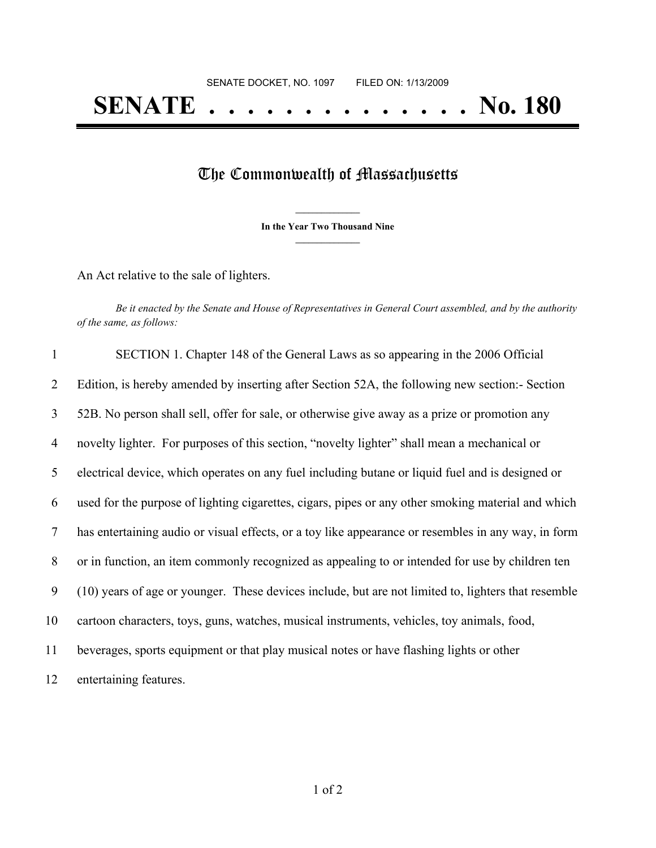## **SENATE . . . . . . . . . . . . . . No. 180**

## The Commonwealth of Massachusetts

**\_\_\_\_\_\_\_\_\_\_\_\_\_\_\_ In the Year Two Thousand Nine \_\_\_\_\_\_\_\_\_\_\_\_\_\_\_**

An Act relative to the sale of lighters.

Be it enacted by the Senate and House of Representatives in General Court assembled, and by the authority *of the same, as follows:*

| $\mathbf{1}$ | SECTION 1. Chapter 148 of the General Laws as so appearing in the 2006 Official                     |
|--------------|-----------------------------------------------------------------------------------------------------|
| 2            | Edition, is hereby amended by inserting after Section 52A, the following new section: - Section     |
| 3            | 52B. No person shall sell, offer for sale, or otherwise give away as a prize or promotion any       |
| 4            | novelty lighter. For purposes of this section, "novelty lighter" shall mean a mechanical or         |
| 5            | electrical device, which operates on any fuel including butane or liquid fuel and is designed or    |
| 6            | used for the purpose of lighting cigarettes, cigars, pipes or any other smoking material and which  |
| 7            | has entertaining audio or visual effects, or a toy like appearance or resembles in any way, in form |
| 8            | or in function, an item commonly recognized as appealing to or intended for use by children ten     |
| 9            | (10) years of age or younger. These devices include, but are not limited to, lighters that resemble |
| 10           | cartoon characters, toys, guns, watches, musical instruments, vehicles, toy animals, food,          |
| 11           | beverages, sports equipment or that play musical notes or have flashing lights or other             |
| 12           | entertaining features.                                                                              |